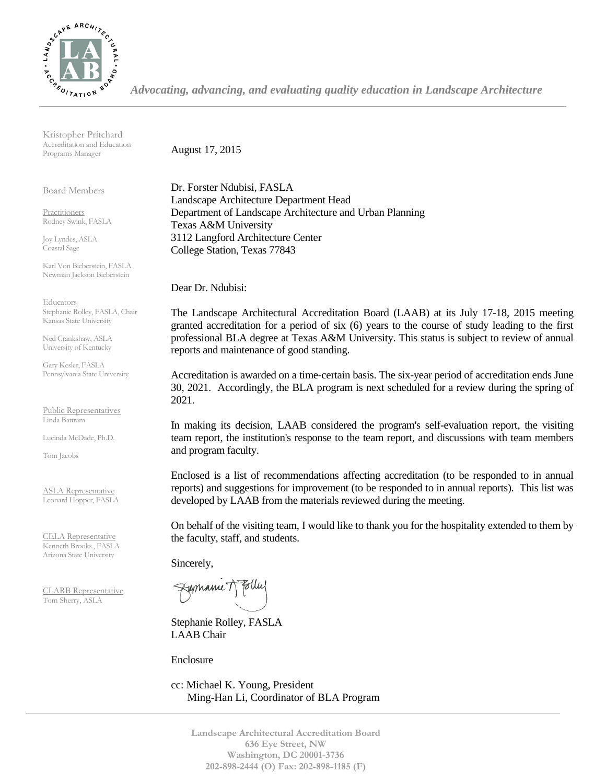

*Advocating, advancing, and evaluating quality education in Landscape Architecture*

Kristopher Pritchard Accreditation and Education Programs Manager

Board Members

Practitioners Rodney Swink, FASLA

Joy Lyndes, ASLA Coastal Sage

Karl Von Bieberstein, FASLA Newman Jackson Bieberstein

**Educators** Stephanie Rolley, FASLA, Chair Kansas State University

Ned Crankshaw, ASLA University of Kentucky

Gary Kesler, FASLA Pennsylvania State University

Public Representatives Linda Battram

Lucinda McDade, Ph.D.

Tom Jacobs

ASLA Representative Leonard Hopper, FASLA

CELA Representative Kenneth Brooks., FASLA Arizona State University

CLARB Representative Tom Sherry, ASLA

August 17, 2015

Dr. Forster Ndubisi, FASLA Landscape Architecture Department Head Department of Landscape Architecture and Urban Planning Texas A&M University 3112 Langford Architecture Center College Station, Texas 77843

Dear Dr. Ndubisi:

The Landscape Architectural Accreditation Board (LAAB) at its July 17-18, 2015 meeting granted accreditation for a period of six (6) years to the course of study leading to the first professional BLA degree at Texas A&M University. This status is subject to review of annual reports and maintenance of good standing.

Accreditation is awarded on a time-certain basis. The six-year period of accreditation ends June 30, 2021. Accordingly, the BLA program is next scheduled for a review during the spring of 2021.

In making its decision, LAAB considered the program's self-evaluation report, the visiting team report, the institution's response to the team report, and discussions with team members and program faculty.

Enclosed is a list of recommendations affecting accreditation (to be responded to in annual reports) and suggestions for improvement (to be responded to in annual reports). This list was developed by LAAB from the materials reviewed during the meeting.

On behalf of the visiting team, I would like to thank you for the hospitality extended to them by the faculty, staff, and students.

Sincerely,

Fremanne 1

Stephanie Rolley, FASLA LAAB Chair

Enclosure

cc: Michael K. Young, President Ming-Han Li, Coordinator of BLA Program